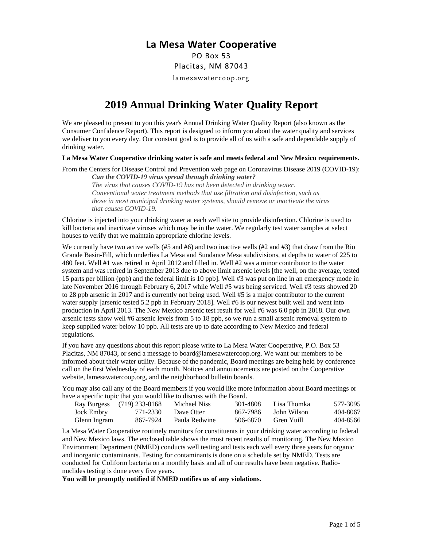## **La Mesa Water Cooperative**

PO Box 53 Placitas, NM 87043 lamesawatercoop.org

# **2019 Annual Drinking Water Quality Report**

We are pleased to present to you this year's Annual Drinking Water Quality Report (also known as the Consumer Confidence Report). This report is designed to inform you about the water quality and services we deliver to you every day. Our constant goal is to provide all of us with a safe and dependable supply of drinking water.

#### **La Mesa Water Cooperative drinking water is safe and meets federal and New Mexico requirements.**

From the Centers for Disease Control and Prevention web page on Coronavirus Disease 2019 (COVID-19): *Can the COVID-19 virus spread through drinking water?*

*The virus that causes COVID-19 has not been detected in drinking water. Conventional water treatment methods that use filtration and disinfection, such as those in most municipal drinking water systems, should remove or inactivate the virus that causes COVID-19.*

Chlorine is injected into your drinking water at each well site to provide disinfection. Chlorine is used to kill bacteria and inactivate viruses which may be in the water. We regularly test water samples at select houses to verify that we maintain appropriate chlorine levels.

We currently have two active wells (#5 and #6) and two inactive wells (#2 and #3) that draw from the Rio Grande Basin-Fill, which underlies La Mesa and Sundance Mesa subdivisions, at depths to water of 225 to 480 feet. Well #1 was retired in April 2012 and filled in. Well #2 was a minor contributor to the water system and was retired in September 2013 due to above limit arsenic levels [the well, on the average, tested 15 parts per billion (ppb) and the federal limit is 10 ppb]. Well #3 was put on line in an emergency mode in late November 2016 through February 6, 2017 while Well #5 was being serviced. Well #3 tests showed 20 to 28 ppb arsenic in 2017 and is currently not being used. Well #5 is a major contributor to the current water supply [arsenic tested 5.2 ppb in February 2018]. Well #6 is our newest built well and went into production in April 2013. The New Mexico arsenic test result for well #6 was 6.0 ppb in 2018. Our own arsenic tests show well #6 arsenic levels from 5 to 18 ppb, so we run a small arsenic removal system to keep supplied water below 10 ppb. All tests are up to date according to New Mexico and federal regulations.

If you have any questions about this report please write to La Mesa Water Cooperative, P.O. Box 53 Placitas, NM 87043, or send a message to board@lamesawatercoop.org. We want our members to be informed about their water utility. Because of the pandemic, Board meetings are being held by conference call on the first Wednesday of each month. Notices and announcements are posted on the Cooperative website, lamesawatercoop.org, and the neighborhood bulletin boards.

You may also call any of the Board members if you would like more information about Board meetings or have a specific topic that you would like to discuss with the Board.

|                   | Ray Burgess (719) 233-0168 | Michael Niss  | 301-4808 | - Lisa Thomka | 577-3095 |
|-------------------|----------------------------|---------------|----------|---------------|----------|
| <b>Jock Embry</b> | 771-2330                   | Dave Otter    | 867-7986 | - John Wilson | 404-8067 |
| Glenn Ingram      | 867-7924                   | Paula Redwine | 506-6870 | Gren Yuill    | 404-8566 |

La Mesa Water Cooperative routinely monitors for constituents in your drinking water according to federal and New Mexico laws. The enclosed table shows the most recent results of monitoring. The New Mexico Environment Department (NMED) conducts well testing and tests each well every three years for organic and inorganic contaminants. Testing for contaminants is done on a schedule set by NMED. Tests are conducted for Coliform bacteria on a monthly basis and all of our results have been negative. Radionuclides testing is done every five years.

**You will be promptly notified if NMED notifies us of any violations.**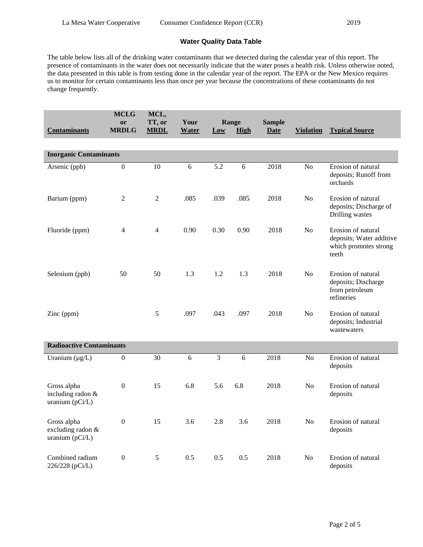### **Water Quality Data Table**

The table below lists all of the drinking water contaminants that we detected during the calendar year of this report. The presence of contaminants in the water does not necessarily indicate that the water poses a health risk. Unless otherwise noted, the data presented in this table is from testing done in the calendar year of the report. The EPA or the New Mexico requires us to monitor for certain contaminants less than once per year because the concentrations of these contaminants do not change frequently.

| <b>Contaminants</b>                                   | <b>MCLG</b><br>or<br><b>MRDLG</b> | MCL,<br>TT, or<br><b>MRDL</b> | Your<br><b>Water</b> | Low  | Range<br>High | <b>Sample</b><br><b>Date</b> | <b>Violation</b> | <b>Typical Source</b>                                                            |
|-------------------------------------------------------|-----------------------------------|-------------------------------|----------------------|------|---------------|------------------------------|------------------|----------------------------------------------------------------------------------|
|                                                       |                                   |                               |                      |      |               |                              |                  |                                                                                  |
| <b>Inorganic Contaminants</b>                         |                                   |                               |                      |      |               |                              |                  |                                                                                  |
| Arsenic (ppb)                                         | $\mathbf{0}$                      | 10                            | 6                    | 5.2  | 6             | 2018                         | N <sub>o</sub>   | Erosion of natural<br>deposits; Runoff from<br>orchards                          |
| Barium (ppm)                                          | 2                                 | $\overline{2}$                | .085                 | .039 | .085          | 2018                         | N <sub>o</sub>   | Erosion of natural<br>deposits; Discharge of<br>Drilling wastes                  |
| Fluoride (ppm)                                        | 4                                 | $\overline{4}$                | 0.90                 | 0.30 | 0.90          | 2018                         | No               | Erosion of natural<br>deposits; Water additive<br>which promotes strong<br>teeth |
| Selenium (ppb)                                        | 50                                | 50                            | 1.3                  | 1.2  | 1.3           | 2018                         | N <sub>o</sub>   | Erosion of natural<br>deposits; Discharge<br>from petroleum<br>refineries        |
| Zinc (ppm)                                            |                                   | 5                             | .097                 | .043 | .097          | 2018                         | No               | Erosion of natural<br>deposits; Industrial<br>wastewaters                        |
| <b>Radioactive Contaminants</b>                       |                                   |                               |                      |      |               |                              |                  |                                                                                  |
| Uranium $(\mu g/L)$                                   | $\boldsymbol{0}$                  | 30                            | 6                    | 3    | 6             | 2018                         | N <sub>o</sub>   | Erosion of natural<br>deposits                                                   |
| Gross alpha<br>including radon &<br>uranium $(pCi/L)$ | $\boldsymbol{0}$                  | 15                            | 6.8                  | 5.6  | 6.8           | 2018                         | N <sub>0</sub>   | Erosion of natural<br>deposits                                                   |
| Gross alpha<br>excluding radon &<br>uranium (pCi/L)   | $\boldsymbol{0}$                  | 15                            | 3.6                  | 2.8  | 3.6           | 2018                         | N <sub>o</sub>   | Erosion of natural<br>deposits                                                   |
| Combined radium<br>226/228 (pCi/L)                    | $\overline{0}$                    | 5                             | 0.5                  | 0.5  | 0.5           | 2018                         | N <sub>o</sub>   | Erosion of natural<br>deposits                                                   |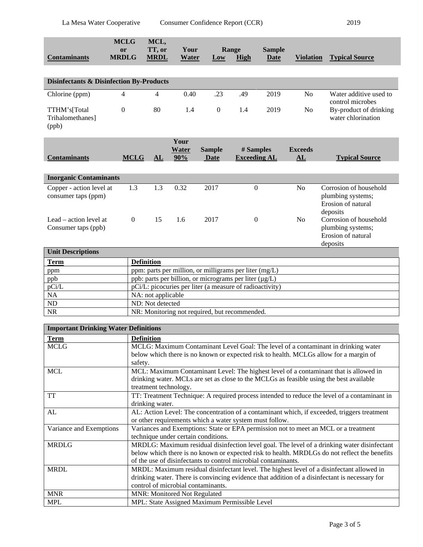ND ND: Not detected<br>NR NR: Monitoring n

| <b>Contaminants</b>                                 | <b>MCLG</b><br><b>or</b><br><b>MRDLG</b> | MCL,<br>TT, or<br><b>MRDL</b>                            | Your<br>Water               | Low                          | Range<br>High                    | <b>Sample</b><br>Date | <b>Violation</b>     | <b>Typical Source</b>                                                         |
|-----------------------------------------------------|------------------------------------------|----------------------------------------------------------|-----------------------------|------------------------------|----------------------------------|-----------------------|----------------------|-------------------------------------------------------------------------------|
|                                                     |                                          |                                                          |                             |                              |                                  |                       |                      |                                                                               |
| <b>Disinfectants &amp; Disinfection By-Products</b> |                                          |                                                          |                             |                              |                                  |                       |                      |                                                                               |
| Chlorine (ppm)                                      | 4                                        | 4                                                        | 0.40                        | .23                          | .49                              | 2019                  | N <sub>0</sub>       | Water additive used to<br>control microbes                                    |
| TTHM's[Total<br><b>Trihalomethanes</b><br>(ppb)     | $\boldsymbol{0}$                         | 80                                                       | 1.4                         | $\boldsymbol{0}$             | 1.4                              | 2019                  | N <sub>o</sub>       | By-product of drinking<br>water chlorination                                  |
| <b>Contaminants</b>                                 | <b>MCLG</b>                              | AL                                                       | Your<br><b>Water</b><br>90% | <b>Sample</b><br><b>Date</b> | # Samples<br><b>Exceeding AL</b> |                       | <b>Exceeds</b><br>AL | <b>Typical Source</b>                                                         |
| <b>Inorganic Contaminants</b>                       |                                          |                                                          |                             |                              |                                  |                       |                      |                                                                               |
| Copper - action level at<br>consumer taps (ppm)     | 1.3                                      | 1.3                                                      | 0.32                        | 2017                         | $\boldsymbol{0}$                 |                       | N <sub>o</sub>       | Corrosion of household<br>plumbing systems;<br>Erosion of natural<br>deposits |
| Lead – action level at<br>Consumer taps (ppb)       | $\Omega$                                 | 15                                                       | 1.6                         | 2017                         | $\Omega$                         |                       | N <sub>o</sub>       | Corrosion of household<br>plumbing systems;<br>Erosion of natural<br>deposits |
| <b>Unit Descriptions</b>                            |                                          |                                                          |                             |                              |                                  |                       |                      |                                                                               |
| <b>Term</b>                                         |                                          | <b>Definition</b>                                        |                             |                              |                                  |                       |                      |                                                                               |
| ppm                                                 |                                          | ppm: parts per million, or milligrams per liter (mg/L)   |                             |                              |                                  |                       |                      |                                                                               |
| ppb                                                 |                                          | ppb: parts per billion, or micrograms per liter (µg/L)   |                             |                              |                                  |                       |                      |                                                                               |
| pCi/L                                               |                                          | pCi/L: picocuries per liter (a measure of radioactivity) |                             |                              |                                  |                       |                      |                                                                               |
| <b>NA</b>                                           |                                          | NA: not applicable                                       |                             |                              |                                  |                       |                      |                                                                               |

| <b>Important Drinking Water Definitions</b> |                                                                                               |  |  |  |
|---------------------------------------------|-----------------------------------------------------------------------------------------------|--|--|--|
| <b>Term</b>                                 | <b>Definition</b>                                                                             |  |  |  |
| <b>MCLG</b>                                 | MCLG: Maximum Contaminant Level Goal: The level of a contaminant in drinking water            |  |  |  |
|                                             | below which there is no known or expected risk to health. MCLGs allow for a margin of         |  |  |  |
|                                             | safety.                                                                                       |  |  |  |
| <b>MCL</b>                                  | MCL: Maximum Contaminant Level: The highest level of a contaminant that is allowed in         |  |  |  |
|                                             | drinking water. MCLs are set as close to the MCLGs as feasible using the best available       |  |  |  |
|                                             | treatment technology.                                                                         |  |  |  |
| <b>TT</b>                                   | TT: Treatment Technique: A required process intended to reduce the level of a contaminant in  |  |  |  |
|                                             | drinking water.                                                                               |  |  |  |
| AL                                          | AL: Action Level: The concentration of a contaminant which, if exceeded, triggers treatment   |  |  |  |
|                                             | or other requirements which a water system must follow.                                       |  |  |  |
| Variance and Exemptions                     | Variances and Exemptions: State or EPA permission not to meet an MCL or a treatment           |  |  |  |
|                                             | technique under certain conditions.                                                           |  |  |  |
| <b>MRDLG</b>                                | MRDLG: Maximum residual disinfection level goal. The level of a drinking water disinfectant   |  |  |  |
|                                             | below which there is no known or expected risk to health. MRDLGs do not reflect the benefits  |  |  |  |
|                                             | of the use of disinfectants to control microbial contaminants.                                |  |  |  |
| <b>MRDL</b>                                 | MRDL: Maximum residual disinfectant level. The highest level of a disinfectant allowed in     |  |  |  |
|                                             | drinking water. There is convincing evidence that addition of a disinfectant is necessary for |  |  |  |
|                                             | control of microbial contaminants.                                                            |  |  |  |
| <b>MNR</b>                                  | <b>MNR: Monitored Not Regulated</b>                                                           |  |  |  |
| <b>MPL</b>                                  | MPL: State Assigned Maximum Permissible Level                                                 |  |  |  |

NR: Monitoring not required, but recommended.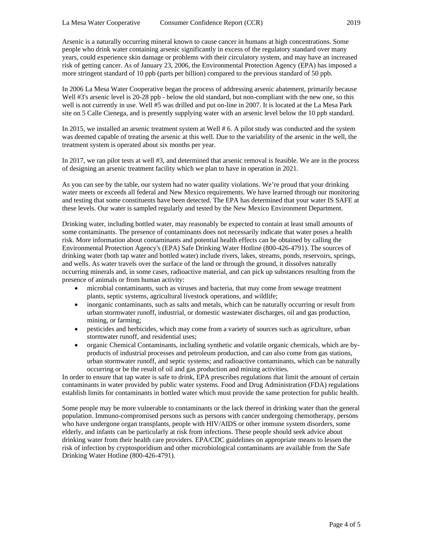Arsenic is a naturally occurring mineral known to cause cancer in humans at high concentrations. Some people who drink water containing arsenic significantly in excess of the regulatory standard over many years, could experience skin damage or problems with their circulatory system, and may have an increased risk of getting cancer. As of January 23, 2006, the Environmental Protection Agency (EPA) has imposed a more stringent standard of 10 ppb (parts per billion) compared to the previous standard of 50 ppb.

In 2006 La Mesa Water Cooperative began the process of addressing arsenic abatement, primarily because Well #3's arsenic level is 20-28 ppb - below the old standard, but non-compliant with the new one, so this well is not currently in use. Well #5 was drilled and put on-line in 2007. It is located at the La Mesa Park site on 5 Calle Cienega, and is presently supplying water with an arsenic level below the 10 ppb standard.

In 2015, we installed an arsenic treatment system at Well # 6. A pilot study was conducted and the system was deemed capable of treating the arsenic at this well. Due to the variability of the arsenic in the well, the treatment system is operated about six months per year.

In 2017, we ran pilot tests at well #3, and determined that arsenic removal is feasible. We are in the process of designing an arsenic treatment facility which we plan to have in operation in 2021.

As you can see by the table, our system had no water quality violations. We're proud that your drinking water meets or exceeds all federal and New Mexico requirements. We have learned through our monitoring and testing that some constituents have been detected. The EPA has determined that your water IS SAFE at these levels. Our water is sampled regularly and tested by the New Mexico Environment Department.

Drinking water, including bottled water, may reasonably be expected to contain at least small amounts of some contaminants. The presence of contaminants does not necessarily indicate that water poses a health risk. More information about contaminants and potential health effects can be obtained by calling the Environmental Protection Agency's (EPA) Safe Drinking Water Hotline (800-426-4791). The sources of drinking water (both tap water and bottled water) include rivers, lakes, streams, ponds, reservoirs, springs, and wells. As water travels over the surface of the land or through the ground, it dissolves naturally occurring minerals and, in some cases, radioactive material, and can pick up substances resulting from the presence of animals or from human activity:

- microbial contaminants, such as viruses and bacteria, that may come from sewage treatment plants, septic systems, agricultural livestock operations, and wildlife;
- inorganic contaminants, such as salts and metals, which can be naturally occurring or result from urban stormwater runoff, industrial, or domestic wastewater discharges, oil and gas production, mining, or farming;
- pesticides and herbicides, which may come from a variety of sources such as agriculture, urban stormwater runoff, and residential uses;
- organic Chemical Contaminants, including synthetic and volatile organic chemicals, which are byproducts of industrial processes and petroleum production, and can also come from gas stations, urban stormwater runoff, and septic systems; and radioactive contaminants, which can be naturally occurring or be the result of oil and gas production and mining activities.

In order to ensure that tap water is safe to drink, EPA prescribes regulations that limit the amount of certain contaminants in water provided by public water systems. Food and Drug Administration (FDA) regulations establish limits for contaminants in bottled water which must provide the same protection for public health.

Some people may be more vulnerable to contaminants or the lack thereof in drinking water than the general population. Immuno-compromised persons such as persons with cancer undergoing chemotherapy, persons who have undergone organ transplants, people with HIV/AIDS or other immune system disorders, some elderly, and infants can be particularly at risk from infections. These people should seek advice about drinking water from their health care providers. EPA/CDC guidelines on appropriate means to lessen the risk of infection by cryptosporidium and other microbiological contaminants are available from the Safe Drinking Water Hotline (800-426-4791).